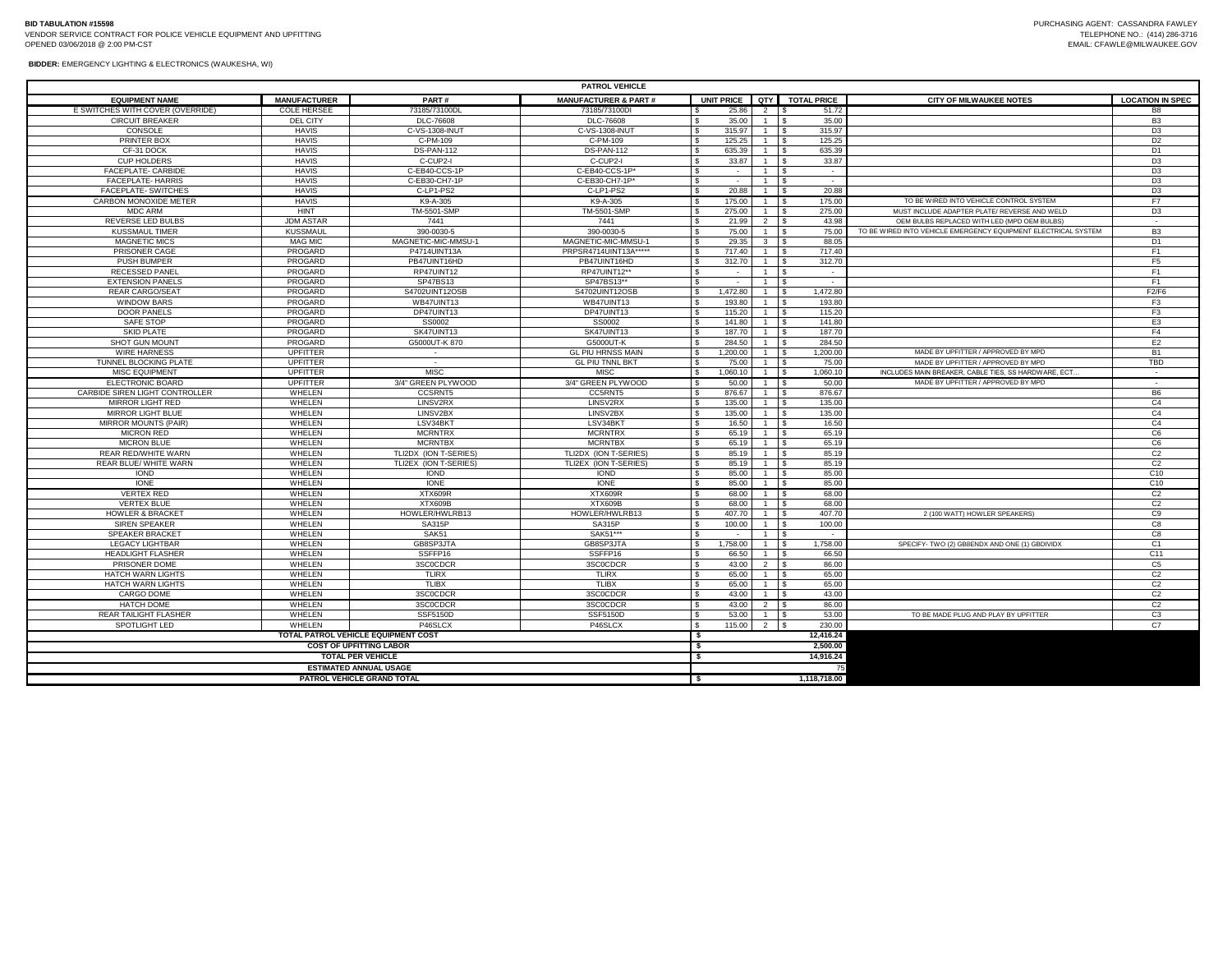| <b>PATROL VEHICLE</b>            |                     |                       |                                 |                   |                         |                                      |                                                                |                          |  |
|----------------------------------|---------------------|-----------------------|---------------------------------|-------------------|-------------------------|--------------------------------------|----------------------------------------------------------------|--------------------------|--|
| <b>EQUIPMENT NAME</b>            | <b>MANUFACTURER</b> | PART#                 | <b>MANUFACTURER &amp; PART#</b> | <b>UNIT PRICE</b> | I QTY I                 | <b>TOTAL PRICE</b>                   | <b>CITY OF MILWAUKEE NOTES</b>                                 | <b>LOCATION IN SPEC</b>  |  |
| E SWITCHES WITH COVER (OVERRIDE) | COLE HERSEE         | 73185/73100DL         | 73185/73100D                    | 25.86             | 2 S                     | 51.72                                |                                                                | B <sub>8</sub>           |  |
| <b>CIRCUIT BREAKER</b>           | DEL CITY            | DLC-76608             | DLC-76608                       | 35.00             |                         | 35.00                                |                                                                | B <sub>3</sub>           |  |
| CONSOLE                          | <b>HAVIS</b>        | C-VS-1308-INUT        | C-VS-1308-INUT                  | 315.97            |                         | 315.97                               |                                                                | D <sub>3</sub>           |  |
| PRINTER BOX                      | <b>HAVIS</b>        | C-PM-109              | C-PM-109                        | 125.25            |                         | 125.25<br>$\overline{\phantom{a}}$   |                                                                | D <sub>2</sub>           |  |
| CF-31 DOCK                       | <b>HAVIS</b>        | <b>DS-PAN-112</b>     | DS-PAN-112                      | 635.39            |                         | 635.39<br>$\overline{\phantom{a}}$   |                                                                | D <sub>1</sub>           |  |
| <b>CUP HOLDERS</b>               | <b>HAVIS</b>        | C-CUP2-I              | C-CUP2-I                        | 33.87             |                         | 33.87<br>ΙS                          |                                                                | D <sub>3</sub>           |  |
| FACEPLATE- CARBIDE               | <b>HAVIS</b>        | C-EB40-CCS-1P         | C-EB40-CCS-1P*                  |                   |                         | l s<br>$\sim$                        |                                                                | D <sub>3</sub>           |  |
| <b>FACEPLATE- HARRIS</b>         | <b>HAVIS</b>        | C-EB30-CH7-1P         | C-EB30-CH7-1P*                  | $\sim$            |                         | $\sim$                               |                                                                | D <sub>3</sub>           |  |
| FACEPLATE- SWITCHES              | <b>HAVIS</b>        | C-LP1-PS2             | C-LP1-PS2                       | 20.88             |                         | 20.88<br>١s                          |                                                                | D <sub>3</sub>           |  |
| CARBON MONOXIDE METER            | <b>HAVIS</b>        | K9-A-305              | K9-A-305                        | 175.00            |                         | 175.00<br>l \$                       | TO BE WIRED INTO VEHICLE CONTROL SYSTEM                        | F <sub>7</sub>           |  |
| <b>MDC ARM</b>                   | <b>HINT</b>         | TM-5501-SMP           | TM-5501-SMP                     | 275.00            |                         | $\overline{\phantom{a}}$<br>275.00   | MUST INCLUDE ADAPTER PLATE/ REVERSE AND WELD                   | D <sub>3</sub>           |  |
| <b>REVERSE LED BULBS</b>         | <b>JDM ASTAR</b>    | 7441                  | 7441                            | 21.99             | $2 \quad$ $\frac{1}{2}$ | 43.98                                | OEM BULBS REPLACED WITH LED (MPD OEM BULBS)                    |                          |  |
| <b>KUSSMAUL TIMER</b>            | <b>KUSSMAUL</b>     | 390-0030-5            | 390-0030-5                      | 75.00             |                         | $\overline{\phantom{a}}$<br>75.00    | TO BE WIRED INTO VEHICLE EMERGENCY FOUIPMENT FLECTRICAL SYSTEM | B <sub>3</sub>           |  |
| <b>MAGNETIC MICS</b>             | <b>MAG MIC</b>      | MAGNETIC-MIC-MMSU-1   | MAGNETIC-MIC-MMSU-1             | 29.35             | $3 \quad$ $\sqrt{5}$    | 88.05                                |                                                                | D <sub>1</sub>           |  |
| PRISONER CAGE                    | PROGARD             | P4714UINT13A          | PRPSR4714UINT13A*****           | 717.40            |                         | 717.40                               |                                                                | F1                       |  |
| PUSH BUMPER                      | PROGARD             | PB47UINT16HD          | PB47UINT16HD                    | 312.70            |                         | 312.70<br>$\overline{\phantom{a}}$   |                                                                | F <sub>5</sub>           |  |
| <b>RECESSED PANEL</b>            | PROGARD             | RP47UINT12            | RP47UINT12**                    |                   |                         | $\sim$                               |                                                                | F1                       |  |
| <b>EXTENSION PANELS</b>          | PROGARD             | SP47BS13              | SP47BS13**                      |                   |                         | $\overline{\phantom{a}}$<br>$\sim$   |                                                                | F1                       |  |
| <b>REAR CARGO/SEAT</b>           | PROGARD             | S4702UINT12OSB        | S4702UINT12OSB                  | 1.472.80          |                         | 1.472.80<br>$\overline{\phantom{a}}$ |                                                                | F2/F6                    |  |
| <b>WINDOW BARS</b>               | PROGARD             | WB47UINT13            | WB47UINT13                      | 193.80            |                         | 193.80                               |                                                                | F <sub>3</sub>           |  |
| <b>DOOR PANELS</b>               | PROGARD             | DP47UINT13            | DP47UINT13                      | 115.20            |                         | 115.20                               |                                                                | F <sub>3</sub>           |  |
| SAFE STOP                        | PROGARD             | SS0002                | SS0002                          | 141.80            |                         | 141.80<br>$\overline{\phantom{a}}$   |                                                                | E <sub>3</sub>           |  |
| <b>SKID PLATE</b>                | PROGARD             | SK47UINT13            | SK47UINT13                      | 187.70            |                         | 187.70<br><b>IS</b>                  |                                                                | F4                       |  |
| <b>SHOT GUN MOUNT</b>            | PROGARD             | G5000UT-K 870         | G5000UT-K                       | 284.50            |                         | 284.50<br>l \$                       |                                                                | E2                       |  |
| <b>WIRE HARNESS</b>              | <b>UPFITTER</b>     |                       | <b>GL PIU HRNSS MAIN</b>        | 1.200.00          |                         | 1.200.00<br>$\overline{\phantom{a}}$ | MADE BY UPFITTER / APPROVED BY MPD                             | <b>B1</b>                |  |
| <b>TUNNEL BLOCKING PLATE</b>     | <b>UPFITTER</b>     |                       | <b>GL PIU TNNL BKT</b>          | 75.00             |                         | 75.00                                | MADE BY UPFITTER / APPROVED BY MPD                             | <b>TBD</b>               |  |
| <b>MISC EQUIPMENT</b>            | <b>UPFITTER</b>     | <b>MISC</b>           | <b>MISC</b>                     | 1.060.10          |                         | 1,060.10<br>$\overline{\phantom{a}}$ | INCLUDES MAIN BREAKER, CABLE TIES, SS HARDWARE, ECT.           |                          |  |
| ELECTRONIC BOARD                 | UPFITTER            | 3/4" GREEN PLYWOOD    | 3/4" GREEN PLYWOOD              | 50.00             |                         | $\overline{\phantom{a}}$<br>50.00    | MADE BY UPFITTER / APPROVED BY MPD                             | $\overline{\phantom{a}}$ |  |
| CARBIDE SIREN LIGHT CONTROLLER   | WHELEN              | <b>CCSRNT5</b>        | CC5RNT5                         | 876.67            |                         | 876.67<br>$\overline{\phantom{a}}$   |                                                                | B <sub>6</sub>           |  |
| MIRROR LIGHT RED                 | WHELEN              | LINSV2RX              | LINSV2RX                        | 135.00            |                         | 135.00<br>$\overline{\phantom{a}}$   |                                                                | C <sub>4</sub>           |  |
| MIRROR LIGHT BLUE                | WHELEN              | LINSV2BX              | LINSV2BX                        | 135.00            |                         | 135.00<br>$\overline{\phantom{a}}$   |                                                                | C <sub>4</sub>           |  |
| MIRROR MOUNTS (PAIR)             | WHELEN              | LSV34BKT              | LSV34BKT                        | 16.50             |                         | 16.50<br>l \$                        |                                                                | C <sub>4</sub>           |  |
| <b>MICRON RED</b>                | WHELEN              | <b>MCRNTRX</b>        | <b>MCRNTRX</b>                  | 65.19             |                         | 65.19<br>$\overline{\phantom{a}}$    |                                                                | C <sub>6</sub>           |  |
| <b>MICRON BLUE</b>               | WHELEN              | <b>MCRNTBX</b>        | <b>MCRNTBX</b>                  | 65.19             |                         | 65.19<br>l s                         |                                                                | C6                       |  |
| <b>REAR RED/WHITE WARN</b>       | WHELEN              | TLI2DX (ION T-SERIES) | TLI2DX (ION T-SERIES)           | 85.19             |                         | 85.19<br>$\overline{\phantom{a}}$    |                                                                | C <sub>2</sub>           |  |
| <b>REAR BLUE/ WHITE WARN</b>     | WHELEN              | TLI2EX (ION T-SERIES) | TLI2EX (ION T-SERIES)           | 85.19             |                         | 85.19                                |                                                                | C <sub>2</sub>           |  |
| <b>IOND</b>                      | WHELEN              | <b>IOND</b>           | <b>IOND</b>                     | 85.00             |                         | 85.00<br>$\overline{\phantom{a}}$    |                                                                | C10                      |  |
|                                  |                     |                       |                                 |                   |                         |                                      |                                                                |                          |  |

**TOTAL PATROL VEHICLE EQUIPMENT COST COST OF UPFITTING LABOR TOTAL PER VEHICLE ESTIMATED ANNUAL USAGE PATROL VEHICLE GRAND TOTAL**

IONE WHELEN IONE IONE \$ 85.00 1 \$ 85.00 C10 VERTEX RED WHELEN XTX609R XTX609R \$ 68.00 1 \$ 68.00 C2 VERTEX BLUE WHELEN XTX609B XTX609B \$ 68.00 1 \$ 68.00 C2 HOWLER & BRACKET MONELEN WHELEN HOWLER/HWLRB13 HOWLER/HWLRB13 \$ 407.70 1 \$ 407.70 2 (100 WATT) HOWLER SPEAKERS)<br>SIREN SPEAKER WHELEN SA315P SA315P SA315P \$ 100.00 1 \$ 100.00 1 \$ 100.00 1 \$ 2 (100 WATT) HOWLER SPEAKERS) C8 SIREN SPEAKER WHELEN SA315P SA315P \$ 100.00 1 \$ 100.00 C8 SPEAKER BRACKET WHELEN SAK51 SAK51\*\*\* \$ - 1 \$ - C8 LEGACY LIGHTBAR WHELEN GB8SP3JTA GB8SP3JTA \$ 1,758.00 1 \$ 1,758.00 SPECIFY- TWO (2) GB8ENDX AND ONE (1) GBDIVIDX C1 HEADLIGHT FLASHER WHELEN | SSFFP16 \$ 66.50 | 1 |\$ 66.50 | C11 PRISONER DOME WHELEN 3SC0CDCR 3SC0CDCR \$ 43.00 2 \$ 86.00 C5 HATCH WARN LIGHTS WHELEN TLIRX TLIRX \$ 65.00 1 \$ 65.00 C2 HATCH WARN LIGHTS WHELEN TLIBX TLIBX \$ 65.00 1 \$ 65.00 C2 CARGO DOME WHELEN 3SC0CDCR 3SC0CDCR \$ 43.00 1 \$ 43.00 C2 HATCH DOME WHELEN 3SC0CDCR 3SC0CDCR \$ 43.00 2 \$ 86.00 C2 REAR TAILIGHT FLASHER WHELEN SSF5150D SSF5150D SSF5150D SSF5150D SSF5150D SSF5150D SSF5150D SST5150D SST5150D SST5150D SST5150D SST5150D SST5150D SST5150D SST5150D SST5150D SST5150D SST5150D ST51500 2 5 53.000 TO BE MADE P SPOTLIGHT LED | WHELEN | P46SLCX P46SLCX |\$ 115.00 | 2 |\$ 230.00 | | C7

**\$** 2,500.00<br>**\$** 14,916.24

**\$ 12,416.24**

**\$ 1,118,718.00**

**\$ 14,916.24** 75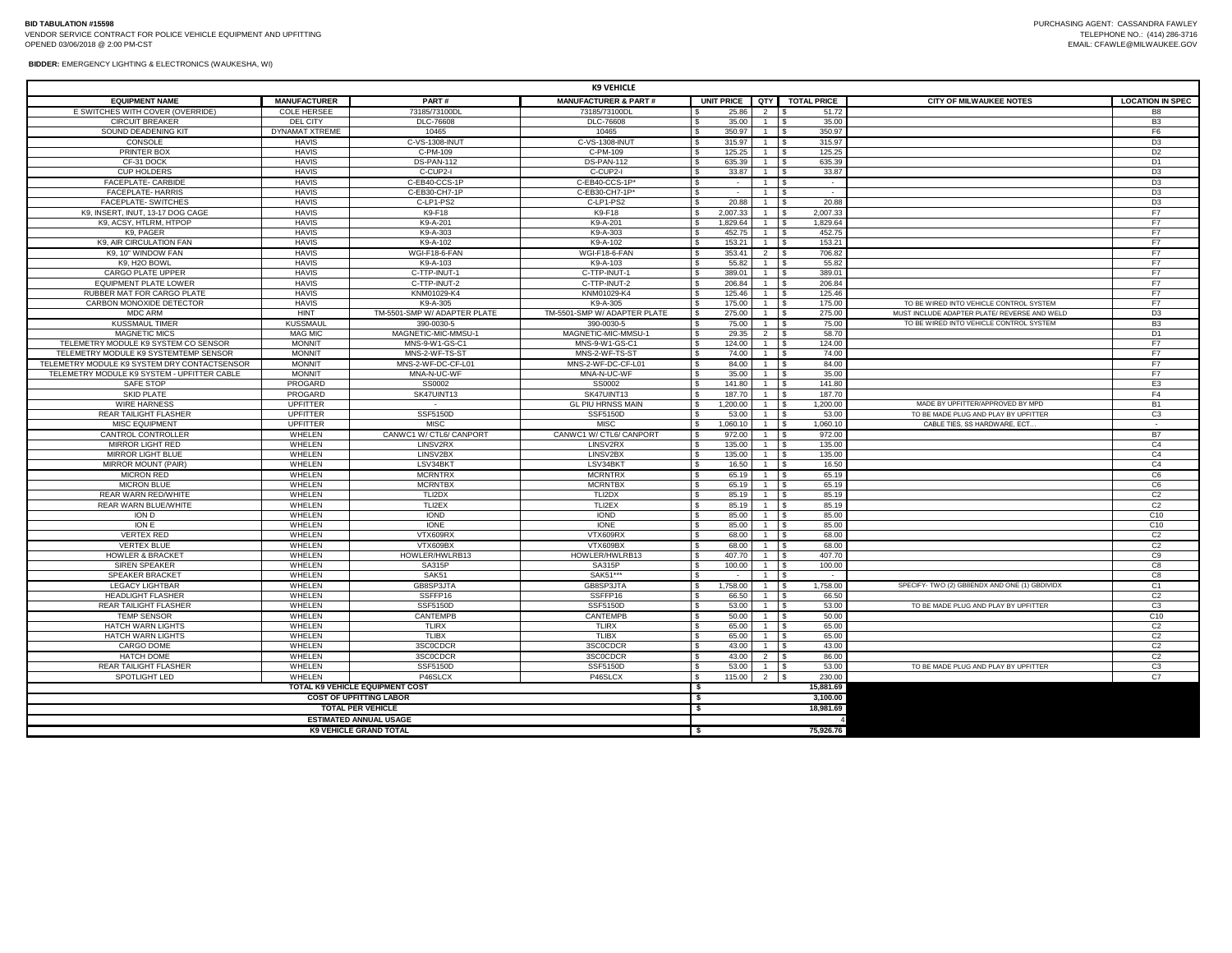**BIDDER:** EMERGENCY LIGHTING & ELECTRONICS (WAUKESHA, WI)

| <b>K9 VEHICLE</b>                            |                              |                                 |                                 |                              |                   |                                                       |                        |                                               |                                  |
|----------------------------------------------|------------------------------|---------------------------------|---------------------------------|------------------------------|-------------------|-------------------------------------------------------|------------------------|-----------------------------------------------|----------------------------------|
| <b>EQUIPMENT NAME</b>                        | <b>MANUFACTURER</b>          | PART#                           | <b>MANUFACTURER &amp; PART#</b> |                              | <b>UNIT PRICE</b> | QTY I                                                 | <b>TOTAL PRICE</b>     | <b>CITY OF MILWAUKEE NOTES</b>                | <b>LOCATION IN SPEC</b>          |
| E SWITCHES WITH COVER (OVERRIDE)             | <b>COLE HERSEE</b>           | 73185/73100DL                   | 73185/73100DL                   |                              | 25.86             | 2                                                     | 51.72<br>\$            |                                               | B <sub>8</sub>                   |
| <b>CIRCUIT BREAKER</b>                       | <b>DEL CITY</b>              | DLC-76608                       | DLC-76608                       |                              | 35.00             | 1                                                     | 35.00<br>\$            |                                               | B <sub>3</sub>                   |
| SOUND DEADENING KIT                          | DYNAMAT XTREME               | 10465                           | 10465                           | $\mathbf{s}$                 | 350.97            | $1 \quad$ S                                           | 350.97                 |                                               | F <sub>6</sub>                   |
| CONSOLE                                      | <b>HAVIS</b>                 | C-VS-1308-INUT                  | C-VS-1308-INUT                  | S.                           | 315.97            | $1 \quad$ $\sqrt{5}$                                  | 315.97                 |                                               | D <sub>3</sub>                   |
| PRINTER BOX                                  | <b>HAVIS</b>                 | C-PM-109                        | C-PM-109                        | <b>S</b>                     | 125.25            | $1 \quad$ S                                           | 125.25                 |                                               | D <sub>2</sub>                   |
| CF-31 DOCK                                   | <b>HAVIS</b>                 | DS-PAN-112                      | DS-PAN-112                      |                              | 635.39            |                                                       | 635.39                 |                                               | D <sub>1</sub>                   |
| <b>CUP HOLDERS</b>                           | <b>HAVIS</b>                 | C-CUP2-I                        | C-CUP2-I                        | -S                           | 33.87             | $1 \quad$ $\sqrt{5}$                                  | 33.87                  |                                               | D <sub>3</sub>                   |
| FACEPLATE- CARBIDE                           | <b>HAVIS</b>                 | C-EB40-CCS-1P                   | C-EB40-CCS-1P                   | S.                           | $\sim$            | $1 \quad$ \$                                          | $\sim$                 |                                               | D <sub>3</sub>                   |
| FACEPLATE-HARRIS                             | <b>HAVIS</b>                 | C-EB30-CH7-1P                   | C-EB30-CH7-1P*                  | s.                           |                   | $1$ $\overline{\phantom{1}}$ s                        | $\sim$                 |                                               | D <sub>3</sub>                   |
| <b>FACEPLATE- SWITCHES</b>                   | <b>HAVIS</b>                 | C-LP1-PS2                       | C-LP1-PS2                       | s.                           | 20.88             | $1$ $\overline{\phantom{1}}$ $\overline{\phantom{1}}$ | 20.88                  |                                               | D <sub>3</sub>                   |
| K9, INSERT, INUT, 13-17 DOG CAGE             | <b>HAVIS</b>                 | K9-F18                          | K9-F18                          | <b>S</b>                     | 2.007.33          | $1 \quad$ S                                           | 2,007.33               |                                               | F7                               |
| K9, ACSY, HTLRM, HTPOP                       | <b>HAVIS</b>                 | K9-A-201                        | K9-A-201                        | <b>S</b>                     | 1,829.64          | $1 \quad$ S                                           | 1,829.64               |                                               | F7                               |
| K9, PAGER                                    | <b>HAVIS</b>                 | K9-A-303                        | K9-A-303                        | $\mathbf{s}$                 | 452.75            |                                                       | 452.75                 |                                               | F7                               |
| K9, AIR CIRCULATION FAN                      | <b>HAVIS</b>                 | K9-A-102                        | K9-A-102                        | -S                           | 153.21            | $1 \quad$                                             | 153.21                 |                                               | F7                               |
| K9, 10" WINDOW FAN<br>K9, H2O BOWL           | <b>HAVIS</b><br><b>HAVIS</b> | WGI-F18-6-FAN<br>K9-A-103       | WGI-F18-6-FAN<br>K9-A-103       | $\mathbf{s}$<br><sub>S</sub> | 353.41<br>55.82   | $2 \sqrt{s}$                                          | 706.82<br>55.82        |                                               | F7<br>F7                         |
| CARGO PLATE UPPER                            | <b>HAVIS</b>                 | C-TTP-INUT-1                    | C-TTP-INUT-1                    | s.                           | 389.01            | $\overline{1}$   \$                                   | 389.01                 |                                               | F7                               |
| <b>EQUIPMENT PLATE LOWER</b>                 | <b>HAVIS</b>                 | C-TTP-INUT-2                    | C-TTP-INUT-2                    | $\mathbf{s}$                 | 206.84            | 1 \$                                                  | 206.84                 |                                               | F7                               |
| RUBBER MAT FOR CARGO PLATE                   | <b>HAVIS</b>                 | KNM01029-K4                     | KNM01029-K4                     |                              | 125.46            | 1                                                     | l \$<br>125.46         |                                               | F7                               |
| CARBON MONOXIDE DETECTOR                     | <b>HAVIS</b>                 | K9-A-305                        | K9-A-305                        | -S                           | 175.00            | $1 \quad$ $\sqrt{5}$                                  | 175.00                 | TO BE WIRED INTO VEHICLE CONTROL SYSTEM       | F7                               |
| <b>MDC ARM</b>                               | <b>HINT</b>                  | TM-5501-SMP W/ ADAPTER PLATE    | TM-5501-SMP W/ ADAPTER PLATE    | S.                           | 275.00            | $1 \quad$ $\sqrt{5}$                                  | 275.00                 | MUST INCLUDE ADAPTER PLATE/ REVERSE AND WELD  | D <sub>3</sub>                   |
| <b>KUSSMAUL TIMER</b>                        | <b>KUSSMAU</b>               | 390-0030-5                      | 390-0030-5                      | <sub>S</sub>                 | 75.00             | $1$ $\overline{\phantom{1}}$ $\overline{\phantom{1}}$ | 75.00                  | TO BE WIRED INTO VEHICLE CONTROL SYSTEM       | B <sub>3</sub>                   |
| <b>MAGNETIC MICS</b>                         | <b>MAG MIC</b>               | MAGNETIC-MIC-MMSU-1             | MAGNETIC-MIC-MMSU-1             | s.                           | 29.35             | $2 \mid$ \$                                           | 58.70                  |                                               | D <sub>1</sub>                   |
| TELEMETRY MODULE K9 SYSTEM CO SENSOR         | <b>MONNIT</b>                | MNS-9-W1-GS-C1                  | MNS-9-W1-GS-C1                  | -S.                          | 124.00            | $1 \quad$ S                                           | 124.00                 |                                               | F7                               |
| TELEMETRY MODULE K9 SYSTEMTEMP SENSOR        | <b>MONNIT</b>                | MNS-2-WF-TS-ST                  | MNS-2-WF-TS-ST                  | $\mathbf{s}$                 | 74.00             |                                                       | 74.00                  |                                               | F7                               |
| TELEMETRY MODULE K9 SYSTEM DRY CONTACTSENSOR | <b>MONNIT</b>                | MNS-2-WF-DC-CF-L01              | MNS-2-WF-DC-CF-L01              | $\mathbf{s}$                 | 84.00             | $1 \quad$ \$                                          | 84.00                  |                                               | F7                               |
| TELEMETRY MODULE K9 SYSTEM - UPFITTER CABLE  | <b>MONNIT</b>                | MNA-N-UC-WF                     | MNA-N-UC-WF                     | S.                           | 35.00             | $1 \quad$                                             | 35.00                  |                                               | F7                               |
| <b>SAFE STOP</b>                             | PROGARD                      | SS0002                          | SS0002                          | $\mathbf{s}$                 | 141.80            | 1 \$                                                  | 141.80                 |                                               | E <sub>3</sub>                   |
| <b>SKID PLATE</b>                            | PROGARD                      | SK47UINT13                      | SK47UINT13                      | $\mathbf{\hat{s}}$           | 187.70            | $1 \quad$                                             | 187.70                 |                                               | F <sub>4</sub>                   |
| <b>WIRE HARNESS</b>                          | <b>UPFITTER</b>              | $\sim$                          | <b>GL PIU HRNSS MAIN</b>        | s.                           | 1,200.00          | $1 \quad$ $\sqrt{5}$                                  | 1,200.00               | MADE BY UPFITTER/APPROVED BY MPD              | <b>B1</b>                        |
| <b>REAR TAILIGHT FLASHER</b>                 | <b>UPFITTER</b>              | <b>SSF5150D</b>                 | SSF5150D                        | S.                           | 53.00             | $1$ $\overline{\phantom{1}}$ $\overline{\phantom{1}}$ | 53.00                  | TO BE MADE PLUG AND PLAY BY UPFITTER          | C <sub>3</sub>                   |
| MISC EQUIPMENT                               | <b>UPFITTER</b>              | <b>MISC</b>                     | <b>MISC</b>                     | $\mathbf{s}$                 | 1,060.10          | $1 \overline{\phantom{a}}$                            | 1,060.10               | CABLE TIES. SS HARDWARE, ECT.                 | $\sim$                           |
| CANTROL CONTROLLER                           | WHELEN                       | CANWC1 W/ CTL6/ CANPORT         | CANWC1 W/ CTL6/ CANPORT         | \$.                          | 972.00            | $1$ $\overline{\phantom{1}}$ $\overline{\phantom{1}}$ | 972.00                 |                                               | <b>B7</b>                        |
| MIRROR LIGHT RED                             | WHELEN                       | LINSV2RX                        | LINSV2RX                        | -S                           | 135.00            | 1                                                     | 135.00<br>$\mathbf{s}$ |                                               | C <sub>4</sub>                   |
| MIRROR LIGHT BLUE                            | WHELEN                       | LINSV2BX                        | LINSV2BX                        | $\mathbf{s}$                 | 135.00            |                                                       | 135.00                 |                                               | C <sub>4</sub>                   |
| MIRROR MOUNT (PAIR)                          | WHELEN                       | LSV34BKT                        | LSV34BKT                        | <b>S</b>                     | 16.50             | $1 \quad$ $\sqrt{5}$                                  | 16.50                  |                                               | C <sub>4</sub>                   |
| MICRON RED                                   | WHELEN                       | <b>MCRNTRX</b>                  | <b>MCRNTRX</b>                  | \$                           | 65.19             | $1 \quad$ $\sqrt{5}$                                  | 65.19                  |                                               | C6                               |
| <b>MICRON BLUE</b>                           | WHELEN                       | <b>MCRNTBX</b>                  | <b>MCRNTBX</b>                  | $\mathbf{s}$                 | 65.19             |                                                       | 65.19                  |                                               | C6                               |
| <b>REAR WARN RED/WHITE</b>                   | WHELEN                       | TLI2DX                          | TLI2DX                          |                              | 85.19             | $1 \quad$ $\mid$ \$                                   | 85.19                  |                                               | C <sub>2</sub>                   |
| <b>REAR WARN BLUE/WHITE</b>                  | WHELEN                       | TLI2EX                          | TLI2EX                          | s                            | 85.19             | $1 \quad$                                             | 85.19                  |                                               | C <sub>2</sub>                   |
| ION D                                        | WHELEN                       | <b>IOND</b>                     | <b>IOND</b>                     | $\mathbf{s}$                 | 85.00             | 1 \$                                                  | 85.00                  |                                               | C <sub>10</sub>                  |
| ION E                                        | WHELEN                       | <b>IONE</b>                     | <b>IONE</b>                     | -S                           | 85.00             | $1$ $\overline{\phantom{1}}$ $\overline{\phantom{1}}$ | 85.00                  |                                               | C10                              |
| <b>VERTEX RED</b><br><b>VERTEX BLUE</b>      | WHELEN<br>WHELEN             | VTX609RX<br>VTX609BX            | VTX609RX<br>VTX609BX            | -S                           | 68.00<br>68.00    | $1 \quad$ S<br>1                                      | 68.00<br>68.00         |                                               | C <sub>2</sub><br>C <sub>2</sub> |
| <b>HOWLER &amp; BRACKET</b>                  | WHELEN                       | HOWLER/HWLRB13                  | HOWLER/HWLRB13                  | l S<br>$\mathbf{s}$          | 407.70            | $1$ $\overline{\phantom{1}}$ s                        | l \$<br>407.70         |                                               | C9                               |
| <b>SIREN SPEAKER</b>                         | WHELEN                       | SA315P                          | <b>SA315P</b>                   | $\mathbf{s}$                 | 100.00            | $1 \quad$ S                                           | 100.00                 |                                               | C8                               |
| <b>SPEAKER BRACKET</b>                       | WHELEN                       | SAK51                           | SAK51**                         | -S                           | $\sim$            | $1 \quad$ \$                                          | $\sim$                 |                                               | C8                               |
| <b>LEGACY LIGHTBAR</b>                       | WHELEN                       | GB8SP3JTA                       | GB8SP3JTA                       |                              | 1,758.00          | $1$ $\overline{\phantom{1}}$ $\overline{\phantom{1}}$ | 1.758.00               | SPECIFY- TWO (2) GB8ENDX AND ONE (1) GBDIVIDX | C <sub>1</sub>                   |
| <b>HEADLIGHT FLASHER</b>                     | WHELEN                       | SSFFP16                         | SSFFP16                         | -S                           | 66.50             |                                                       | 66.50                  |                                               | C <sub>2</sub>                   |
| REAR TAILIGHT FLASHER                        | WHELEN                       | <b>SSF5150D</b>                 | <b>SSF5150D</b>                 | S.                           | 53.00             | 1 \$                                                  | 53.00                  | TO BE MADE PLUG AND PLAY BY UPFITTER          | C <sub>3</sub>                   |
| <b>TEMP SENSOR</b>                           | WHELEN                       | CANTEMPB                        | CANTEMPB                        | $\mathbf{s}$                 | 50.00             | $1 \quad$ $\sqrt{5}$                                  | 50.00                  |                                               | C <sub>10</sub>                  |
| <b>HATCH WARN LIGHTS</b>                     | WHELEN                       | <b>TLIRX</b>                    | <b>TLIRX</b>                    | <sub>S</sub>                 | 65.00             | $1 \quad$ $\sqrt{5}$                                  | 65.00                  |                                               | C <sub>2</sub>                   |
| HATCH WARN LIGHTS                            | WHELEN                       | <b>TLIBX</b>                    | <b>TLIBX</b>                    | <b>S</b>                     | 65.00             |                                                       | 65.00                  |                                               | C <sub>2</sub>                   |
| CARGO DOME                                   | WHELEN                       | 3SC0CDCF                        | 3SC0CDCF                        | l \$                         | 43.00             | $1 \quad$ \$                                          | 43.00                  |                                               | C <sub>2</sub>                   |
| <b>HATCH DOME</b>                            | WHELEN                       | 3SC0CDCR                        | 3SC0CDCR                        |                              | 43.00             | 2 <sup>5</sup>                                        | 86.00                  |                                               | C <sub>2</sub>                   |
| <b>REAR TAILIGHT FLASHER</b>                 | WHELEN                       | <b>SSF5150D</b>                 | <b>SSF5150D</b>                 | -S                           | 53.00             | $1 \quad$ S                                           | 53.00                  | TO BE MADE PLUG AND PLAY BY UPFITTER          | C <sub>3</sub>                   |
| SPOTLIGHT LED                                | WHELEN                       | P46SLCX                         | P46SLCX                         | $\mathbf{s}$                 | 115.00            | $2 \quad$ \$                                          | 230.00                 |                                               | C7                               |
|                                              |                              | TOTAL K9 VEHICLE EQUIPMENT COST |                                 | - 1                          |                   |                                                       | 15,881.69              |                                               |                                  |
| <b>COST OF UPFITTING LABOR</b>               |                              |                                 |                                 |                              |                   |                                                       | 3,100.00               |                                               |                                  |
| <b>TOTAL PER VEHICLE</b>                     |                              |                                 |                                 |                              |                   |                                                       | 18,981.69              |                                               |                                  |
| <b>ESTIMATED ANNUAL USAGE</b>                |                              |                                 |                                 |                              |                   |                                                       |                        |                                               |                                  |
| <b>K9 VEHICLE GRAND TOTAL</b>                |                              |                                 |                                 |                              |                   |                                                       | 75.926.76              |                                               |                                  |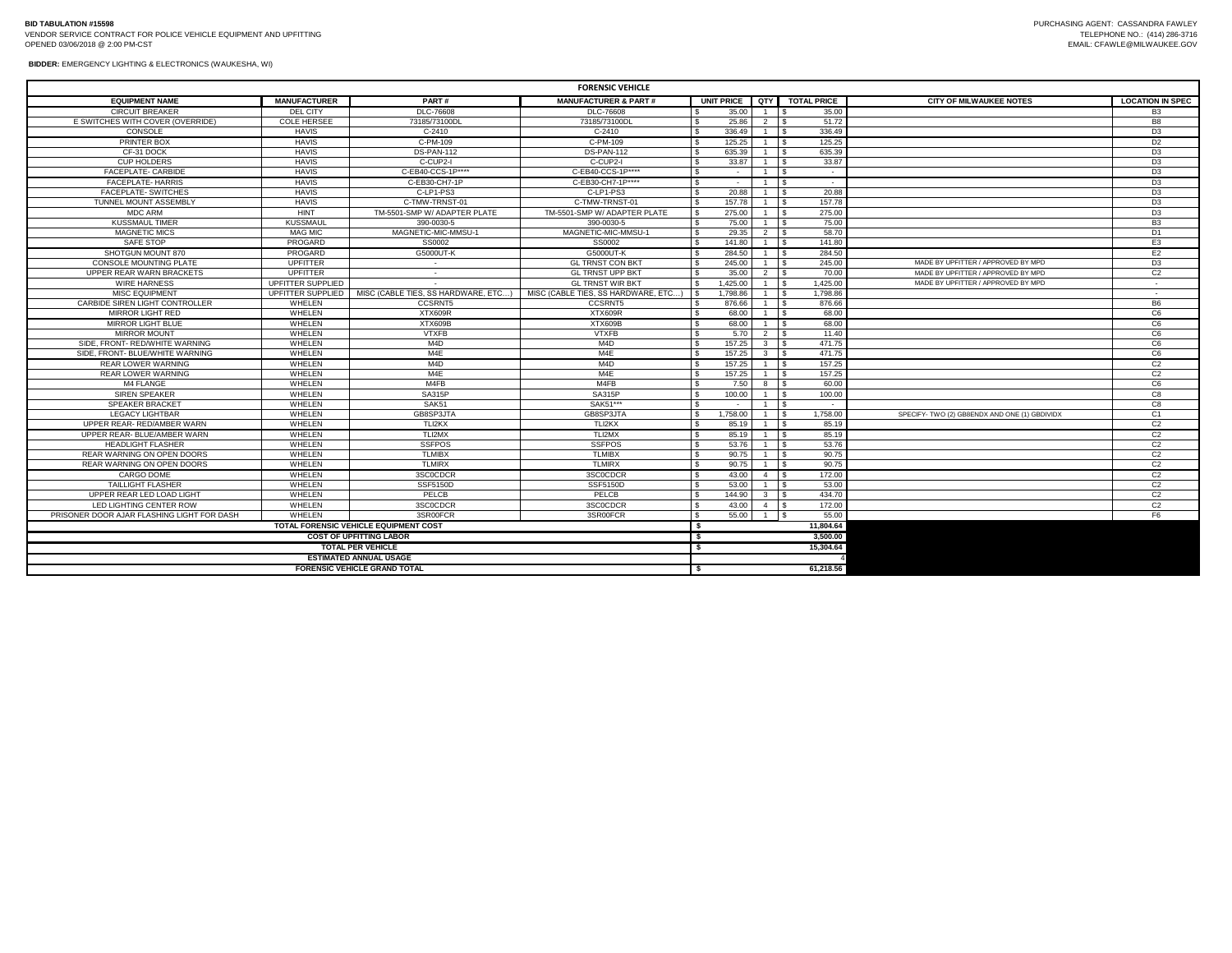**BIDDER:** EMERGENCY LIGHTING & ELECTRONICS (WAUKESHA, WI)

| <b>FORENSIC VEHICLE</b>                      |                     |                                     |                                     |    |          |                |                            |                                               |                         |
|----------------------------------------------|---------------------|-------------------------------------|-------------------------------------|----|----------|----------------|----------------------------|-----------------------------------------------|-------------------------|
| <b>EQUIPMENT NAME</b>                        | <b>MANUFACTURER</b> | PART#                               | <b>MANUFACTURER &amp; PART#</b>     |    |          |                | UNIT PRICE QTY TOTAL PRICE | <b>CITY OF MILWAUKEE NOTES</b>                | <b>LOCATION IN SPEC</b> |
| <b>CIRCUIT BREAKER</b>                       | DEL CITY            | DLC-76608                           | <b>DLC-76608</b>                    |    | 35.00    | 1 \$           | 35.00                      |                                               | B <sub>3</sub>          |
| E SWITCHES WITH COVER (OVERRIDE)             | <b>COLE HERSEE</b>  | 73185/73100DL                       | 73185/73100DL                       |    | 25.86    | 2              | 51.72                      |                                               | B <sub>8</sub>          |
| CONSOLE                                      | <b>HAVIS</b>        | $C-2410$                            | $C-2410$                            |    | 336.49   | $\overline{1}$ | 336.49                     |                                               | D <sub>3</sub>          |
| PRINTER BOX                                  | <b>HAVIS</b>        | C-PM-109                            | C-PM-109                            |    | 125.25   |                | 125.25                     |                                               | D <sub>2</sub>          |
| CF-31 DOCK                                   | <b>HAVIS</b>        | <b>DS-PAN-112</b>                   | <b>DS-PAN-112</b>                   |    | 635.39   | 1 S            | 635.39                     |                                               | D <sub>3</sub>          |
| <b>CUP HOLDERS</b>                           | <b>HAVIS</b>        | C-CUP2-I                            | C-CUP2-I                            |    | 33.87    |                | 33.87                      |                                               | D <sub>3</sub>          |
| FACEPLATE- CARBIDE                           | <b>HAVIS</b>        | C-EB40-CCS-1P****                   | C-EB40-CCS-1P****                   |    | $\sim$   |                | $\sim$                     |                                               | D <sub>3</sub>          |
| <b>FACEPLATE-HARRIS</b>                      | <b>HAVIS</b>        | C-EB30-CH7-1P                       | C-EB30-CH7-1P****                   |    | $\sim$   |                | $\sim$                     |                                               | D <sub>3</sub>          |
| FACEPLATE- SWITCHES                          | <b>HAVIS</b>        | C-LP1-PS3                           | C-LP1-PS3                           |    | 20.88    | $\overline{1}$ | 20.88                      |                                               | D <sub>3</sub>          |
| TUNNEL MOUNT ASSEMBLY                        | <b>HAVIS</b>        | C-TMW-TRNST-01                      | C-TMW-TRNST-01                      |    | 157.78   | $\overline{1}$ | 157.78                     |                                               | D <sub>3</sub>          |
| MDC ARM                                      | HINT                | TM-5501-SMP W/ ADAPTER PLATE        | TM-5501-SMP W/ ADAPTER PLATE        |    | 275.00   | 1              | 275.00                     |                                               | D <sub>3</sub>          |
| <b>KUSSMAUL TIMER</b>                        | KUSSMAU             | 390-0030-5                          | 390-0030-5                          |    | 75.00    | $1 \quad$ \$   | 75.00                      |                                               | B <sub>3</sub>          |
| <b>MAGNETIC MICS</b>                         | <b>MAG MIC</b>      | MAGNETIC-MIC-MMSU-1                 | MAGNETIC-MIC-MMSU-1                 |    | 29.35    | $\overline{2}$ | 58.70                      |                                               | D <sub>1</sub>          |
| SAFF STOP                                    | PROGARD             | SS0002                              | SS0002                              |    | 141.80   | 1              | 141.80                     |                                               | E <sub>3</sub>          |
| SHOTGUN MOUNT 870                            | PROGARD             | G5000UT-K                           | G5000UT-K                           |    | 284.50   | 1              | 284.50                     |                                               | E <sub>2</sub>          |
| CONSOLE MOUNTING PLATE                       | UPFITTER            | $\sim$                              | <b>GL TRNST CON BKT</b>             |    | 245.00   | $\mathbf{1}$   | 245.00                     | MADE BY UPFITTER / APPROVED BY MPD            | D <sub>3</sub>          |
| UPPER REAR WARN BRACKETS                     | <b>UPFITTER</b>     | $\sim$                              | <b>GL TRNST UPP BKT</b>             |    | 35.00    | $\overline{2}$ | 70.00                      | MADE BY UPFITTER / APPROVED BY MPD            | C <sub>2</sub>          |
| <b>WIRE HARNESS</b>                          | UPFITTER SUPPLIED   | $\sim$                              | <b>GL TRNST WIR BKT</b>             |    | 1.425.00 | $\overline{1}$ | 1,425.00                   | MADE BY UPFITTER / APPROVED BY MPD            | $\sim$                  |
| MISC EQUIPMENT                               | UPFITTER SUPPLIED   | MISC (CABLE TIES, SS HARDWARE, ETC) | MISC (CABLE TIES, SS HARDWARE, ETC) |    | 1.798.86 | $1 \quad$ S    | 1,798.86                   |                                               | $\sim$                  |
| CARBIDE SIREN LIGHT CONTROLLER               | WHELEN              | CCSRNT5                             | <b>CCSRNT5</b>                      |    | 876.66   | $1 \quad$ S    | 876.66                     |                                               | <b>B6</b>               |
| MIRROR LIGHT RED                             | WHELEN              | XTX609R                             | XTX609R                             |    | 68.00    | $1 \quad$ \$   | 68.00                      |                                               | C6                      |
| <b>MIRROR LIGHT BLUE</b>                     | WHELEN              | <b>XTX609B</b>                      | XTX609B                             |    | 68.00    | $1 \quad$ \$   | 68.00                      |                                               | C <sub>6</sub>          |
| <b>MIRROR MOUNT</b>                          | WHELEN              | <b>VTXFB</b>                        | <b>VTXFB</b>                        |    | 5.70     | 2 S            | 11.40                      |                                               | C6                      |
| SIDE, FRONT- RED/WHITE WARNING               | WHELEN              | M <sub>4</sub> D                    | M4D                                 |    | 157.25   | $3^{\circ}$    | 471.75                     |                                               | C6                      |
| SIDE, FRONT- BLUE/WHITE WARNING              | WHELEN              | M4E                                 | M4E                                 |    | 157.25   | 3 <sup>1</sup> | 471.75                     |                                               | C <sub>6</sub>          |
| <b>REAR LOWER WARNING</b>                    | WHELEN              | M <sub>4</sub> D                    | M4D                                 |    | 157.25   | $\overline{1}$ | 157.25                     |                                               | C <sub>2</sub>          |
| <b>REAR LOWER WARNING</b>                    | WHELEN              | M4E                                 | M4E                                 |    | 157.25   |                | 157.25                     |                                               | C <sub>2</sub>          |
| M4 FLANGE                                    | WHELEN              | M4FB                                | M4FB                                |    | 7.50     | 8 \$           | 60.00                      |                                               | C6                      |
| <b>SIREN SPEAKER</b>                         | WHELEN              | <b>SA315P</b>                       | <b>SA315P</b>                       |    | 100.00   | $1 \quad$      | 100.00                     |                                               | C8                      |
| <b>SPEAKER BRACKET</b>                       | WHELEN              | SAK51                               | SAK51***                            |    | $\sim$   |                | $\sim$                     |                                               | C8                      |
| <b>LEGACY LIGHTBAR</b>                       | WHELEN              | GB8SP3JTA                           | GB8SP3JTA                           |    | 1.758.00 |                | 1.758.00                   | SPECIFY- TWO (2) GB8ENDX AND ONE (1) GBDIVIDX | C <sub>1</sub>          |
| UPPER REAR-RED/AMBER WARN                    | WHELEN              | TLI2KX                              | TLI2KX                              |    | 85.19    | $\mathbf{1}$   | 85.19                      |                                               | C <sub>2</sub>          |
| UPPER REAR- BLUE/AMBER WARN                  | WHELEN              | TLI2MX                              | TLI2MX                              |    | 85.19    |                | 85.19                      |                                               | C <sub>2</sub>          |
| HEADLIGHT FLASHER                            | WHELEN              | <b>SSFPOS</b>                       | <b>SSFPOS</b>                       |    | 53.76    |                | 53.76                      |                                               | C <sub>2</sub>          |
| <b>REAR WARNING ON OPEN DOORS</b>            | WHELEN              | <b>TLMIBX</b>                       | <b>TLMIBX</b>                       |    | 90.75    | $1 \quad$ \$   | 90.75                      |                                               | C <sub>2</sub>          |
| REAR WARNING ON OPEN DOORS                   | WHELEN              | <b>TLMIRX</b>                       | <b>TLMIRX</b>                       |    | 90.75    | 1 S            | 90.75                      |                                               | C <sub>2</sub>          |
| CARGO DOME                                   | WHELEN              | 3SC0CDCR                            | 3SC0CDCR                            |    | 43.00    | 4   \$         | 172.00                     |                                               | C <sub>2</sub>          |
| <b>TAILLIGHT FLASHER</b>                     | WHELEN              | SSF5150D                            | <b>SSF5150D</b>                     |    | 53.00    | $1 \quad$ S    | 53.00                      |                                               | C <sub>2</sub>          |
| UPPER REAR LED LOAD LIGHT                    | WHELEN              | PELCB                               | PELCB                               |    | 144.90   | 3 <sup>5</sup> | 434.70                     |                                               | C <sub>2</sub>          |
| LED LIGHTING CENTER ROW                      | WHELEN              | 3SC0CDCR                            | 3SC0CDCR                            |    | 43.00    | $4 \quad$ \$   | 172.00                     |                                               | C <sub>2</sub>          |
| PRISONER DOOR AJAR FLASHING LIGHT FOR DASH   | WHELEN              | 3SR00FCR                            | 3SR00FCR                            |    | 55.00    | $1 \quad$ \$   | 55.00                      |                                               | F <sub>6</sub>          |
| <b>TOTAL FORENSIC VEHICLE EQUIPMENT COST</b> |                     |                                     |                                     |    |          |                | 11,804.64                  |                                               |                         |
|                                              |                     | <b>COST OF UPFITTING LABOR</b>      |                                     | S, |          |                | 3,500.00                   |                                               |                         |
| <b>TOTAL PER VEHICLE</b>                     |                     |                                     |                                     |    |          |                | 15.304.64                  |                                               |                         |
| <b>ESTIMATED ANNUAL USAGE</b>                |                     |                                     |                                     |    |          |                |                            |                                               |                         |
|                                              |                     | <b>FORENSIC VEHICLE GRAND TOTAL</b> |                                     |    |          |                | 61.218.56                  |                                               |                         |